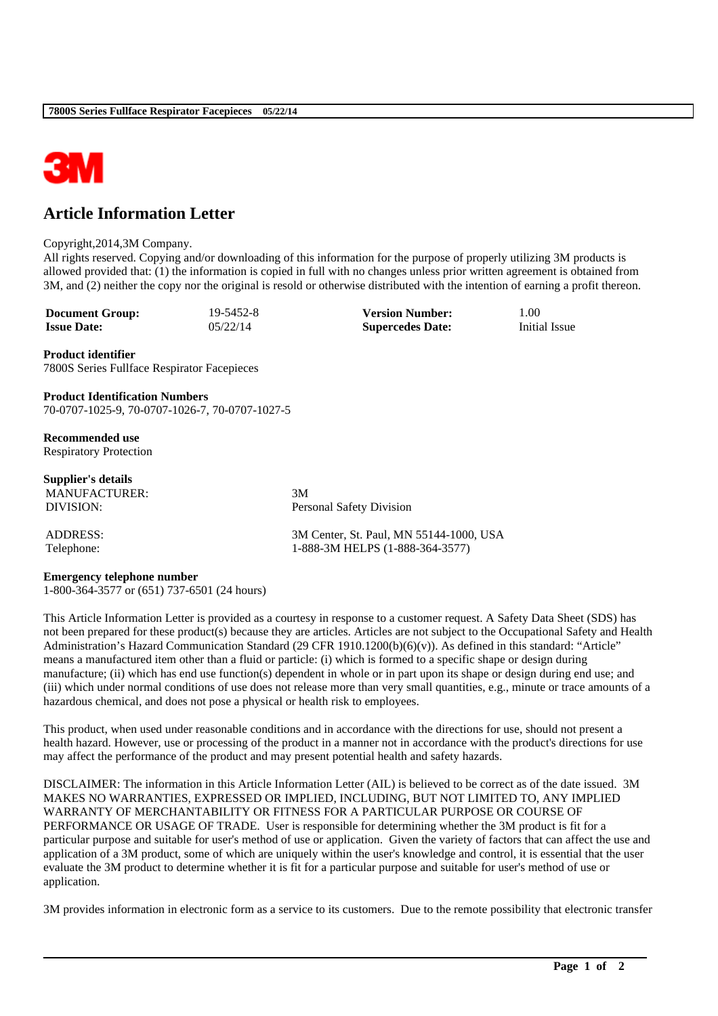

## **Article Information Letter**

## Copyright,2014,3M Company.

All rights reserved. Copying and/or downloading of this information for the purpose of properly utilizing 3M products is allowed provided that: (1) the information is copied in full with no changes unless prior written agreement is obtained from 3M, and (2) neither the copy nor the original is resold or otherwise distributed with the intention of earning a profit thereon.

**Document Group:** 19-5452-8 **Version Number:** 1.00<br> **Issue Date:** 05/22/14 **Supercedes Date:** Initial Issue **Issue Date:** 05/22/14 **Supercedes Date:** 

**Product identifier** 7800S Series Fullface Respirator Facepieces

**Product Identification Numbers** 70-0707-1025-9, 70-0707-1026-7, 70-0707-1027-5

**Recommended use** Respiratory Protection

**Supplier's details** MANUFACTURER: 3M

DIVISION: Personal Safety Division

ADDRESS: 3M Center, St. Paul, MN 55144-1000, USA Telephone: 1-888-3M HELPS (1-888-364-3577)

## **Emergency telephone number**

1-800-364-3577 or (651) 737-6501 (24 hours)

This Article Information Letter is provided as a courtesy in response to a customer request. A Safety Data Sheet (SDS) has not been prepared for these product(s) because they are articles. Articles are not subject to the Occupational Safety and Health Administration's Hazard Communication Standard (29 CFR 1910.1200(b)(6)(v)). As defined in this standard: "Article" means a manufactured item other than a fluid or particle: (i) which is formed to a specific shape or design during manufacture; (ii) which has end use function(s) dependent in whole or in part upon its shape or design during end use; and (iii) which under normal conditions of use does not release more than very small quantities, e.g., minute or trace amounts of a hazardous chemical, and does not pose a physical or health risk to employees.

This product, when used under reasonable conditions and in accordance with the directions for use, should not present a health hazard. However, use or processing of the product in a manner not in accordance with the product's directions for use may affect the performance of the product and may present potential health and safety hazards.

DISCLAIMER: The information in this Article Information Letter (AIL) is believed to be correct as of the date issued. 3M MAKES NO WARRANTIES, EXPRESSED OR IMPLIED, INCLUDING, BUT NOT LIMITED TO, ANY IMPLIED WARRANTY OF MERCHANTABILITY OR FITNESS FOR A PARTICULAR PURPOSE OR COURSE OF PERFORMANCE OR USAGE OF TRADE. User is responsible for determining whether the 3M product is fit for a particular purpose and suitable for user's method of use or application. Given the variety of factors that can affect the use and application of a 3M product, some of which are uniquely within the user's knowledge and control, it is essential that the user evaluate the 3M product to determine whether it is fit for a particular purpose and suitable for user's method of use or application.

3M provides information in electronic form as a service to its customers. Due to the remote possibility that electronic transfer

\_\_\_\_\_\_\_\_\_\_\_\_\_\_\_\_\_\_\_\_\_\_\_\_\_\_\_\_\_\_\_\_\_\_\_\_\_\_\_\_\_\_\_\_\_\_\_\_\_\_\_\_\_\_\_\_\_\_\_\_\_\_\_\_\_\_\_\_\_\_\_\_\_\_\_\_\_\_\_\_\_\_\_\_\_\_\_\_\_\_